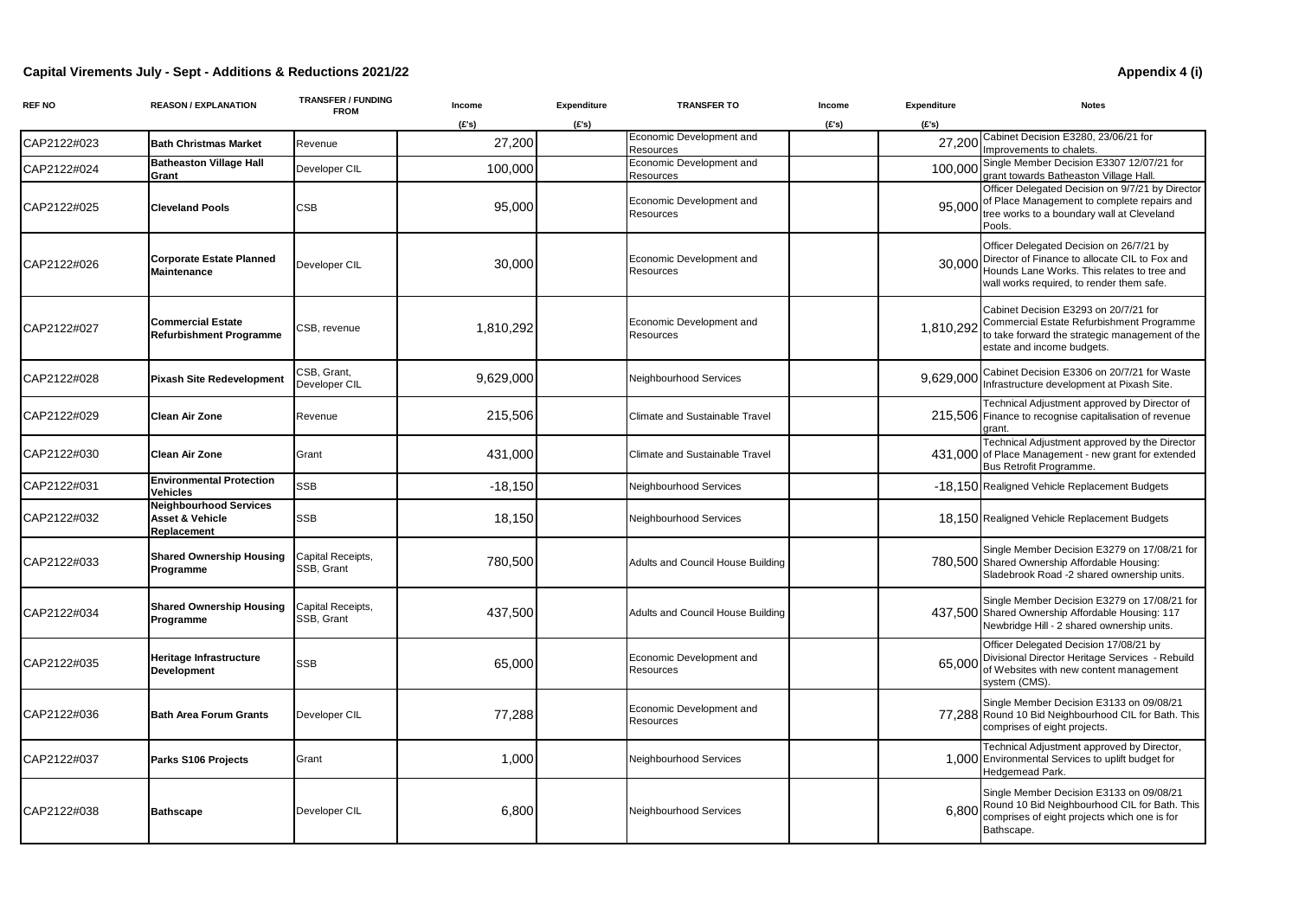## **Capital Virements July - Sept - Additions & Reductions 2021/22 Appendix 4 (i)**

| <b>REF NO</b> | <b>REASON / EXPLANATION</b>                                     | <b>TRANSFER / FUNDING</b><br><b>FROM</b> | Income    | Expenditure | <b>TRANSFER TO</b>                    | Income | Expenditure | <b>Notes</b>                                                                                                                                                                           |
|---------------|-----------------------------------------------------------------|------------------------------------------|-----------|-------------|---------------------------------------|--------|-------------|----------------------------------------------------------------------------------------------------------------------------------------------------------------------------------------|
|               |                                                                 |                                          | (E's)     | (E's)       |                                       | (E's)  | (E's)       |                                                                                                                                                                                        |
| CAP2122#023   | <b>Bath Christmas Market</b>                                    | Revenue                                  | 27,200    |             | Economic Development and<br>Resources |        | 27,200      | Cabinet Decision E3280, 23/06/21 for<br>Improvements to chalets.                                                                                                                       |
| CAP2122#024   | <b>Batheaston Village Hall</b><br>Grant                         | Developer CIL                            | 100,000   |             | Economic Development and<br>Resources |        | 100,000     | Single Member Decision E3307 12/07/21 for<br>grant towards Batheaston Village Hall.                                                                                                    |
| CAP2122#025   | <b>Cleveland Pools</b>                                          | $\mathsf{CSB}$                           | 95,000    |             | Economic Development and<br>Resources |        | 95,000      | Officer Delegated Decision on 9/7/21 by Director<br>of Place Management to complete repairs and<br>tree works to a boundary wall at Cleveland<br>Pools.                                |
| CAP2122#026   | <b>Corporate Estate Planned</b><br>Maintenance                  | Developer CIL                            | 30,000    |             | Economic Development and<br>Resources |        | 30,000      | Officer Delegated Decision on 26/7/21 by<br>Director of Finance to allocate CIL to Fox and<br>Hounds Lane Works. This relates to tree and<br>wall works required, to render them safe. |
| CAP2122#027   | <b>Commercial Estate</b><br><b>Refurbishment Programme</b>      | CSB, revenue                             | 1,810,292 |             | Economic Development and<br>Resources |        | 1,810,292   | Cabinet Decision E3293 on 20/7/21 for<br>Commercial Estate Refurbishment Programme<br>to take forward the strategic management of the<br>estate and income budgets.                    |
| CAP2122#028   | Pixash Site Redevelopment                                       | <b>SB, Grant,</b><br>Developer CIL       | 9,629,000 |             | Neighbourhood Services                |        | 9,629,000   | Cabinet Decision E3306 on 20/7/21 for Waste<br>Infrastructure development at Pixash Site.                                                                                              |
| CAP2122#029   | Clean Air Zone                                                  | Revenue                                  | 215,506   |             | <b>Climate and Sustainable Travel</b> |        |             | Technical Adjustment approved by Director of<br>215,506 Finance to recognise capitalisation of revenue<br>grant.                                                                       |
| CAP2122#030   | Clean Air Zone                                                  | Grant                                    | 431,000   |             | <b>Climate and Sustainable Travel</b> |        | 431,000     | Technical Adjustment approved by the Director<br>of Place Management - new grant for extended<br>Bus Retrofit Programme.                                                               |
| CAP2122#031   | <b>Environmental Protection</b><br>Vehicles                     | SSB                                      | $-18,150$ |             | Neighbourhood Services                |        |             | -18,150 Realigned Vehicle Replacement Budgets                                                                                                                                          |
| CAP2122#032   | <b>Neighbourhood Services</b><br>Asset & Vehicle<br>Replacement | SSB                                      | 18,150    |             | <b>Neighbourhood Services</b>         |        |             | 18,150 Realigned Vehicle Replacement Budgets                                                                                                                                           |
| CAP2122#033   | Shared Ownership Housing<br>Programme                           | Capital Receipts,<br>SSB, Grant          | 780,500   |             | Adults and Council House Building     |        |             | Single Member Decision E3279 on 17/08/21 for<br>780,500 Shared Ownership Affordable Housing:<br>Sladebrook Road -2 shared ownership units.                                             |
| CAP2122#034   | <b>Shared Ownership Housing</b><br>Programme                    | Capital Receipts,<br>SSB, Grant          | 437,500   |             | Adults and Council House Building     |        |             | Single Member Decision E3279 on 17/08/21 for<br>437,500 Shared Ownership Affordable Housing: 117<br>Newbridge Hill - 2 shared ownership units.                                         |
| CAP2122#035   | Heritage Infrastructure<br>Development                          | SSB                                      | 65,000    |             | Economic Development and<br>Resources |        | 65,000      | Officer Delegated Decision 17/08/21 by<br>Divisional Director Heritage Services - Rebuild<br>of Websites with new content management<br>system (CMS).                                  |
| CAP2122#036   | <b>Bath Area Forum Grants</b>                                   | Developer CIL                            | 77,288    |             | Economic Development and<br>Resources |        |             | Single Member Decision E3133 on 09/08/21<br>77,288 Round 10 Bid Neighbourhood CIL for Bath. This<br>comprises of eight projects.                                                       |
| CAP2122#037   | Parks S106 Projects                                             | Grant                                    | 1,000     |             | Neighbourhood Services                |        |             | Technical Adjustment approved by Director,<br>1,000 Environmental Services to uplift budget for<br>Hedgemead Park.                                                                     |
| CAP2122#038   | <b>Bathscape</b>                                                | Developer CIL                            | 6,800     |             | Neighbourhood Services                |        | 6.800       | Single Member Decision E3133 on 09/08/21<br>Round 10 Bid Neighbourhood CIL for Bath. This<br>comprises of eight projects which one is for<br>Bathscape.                                |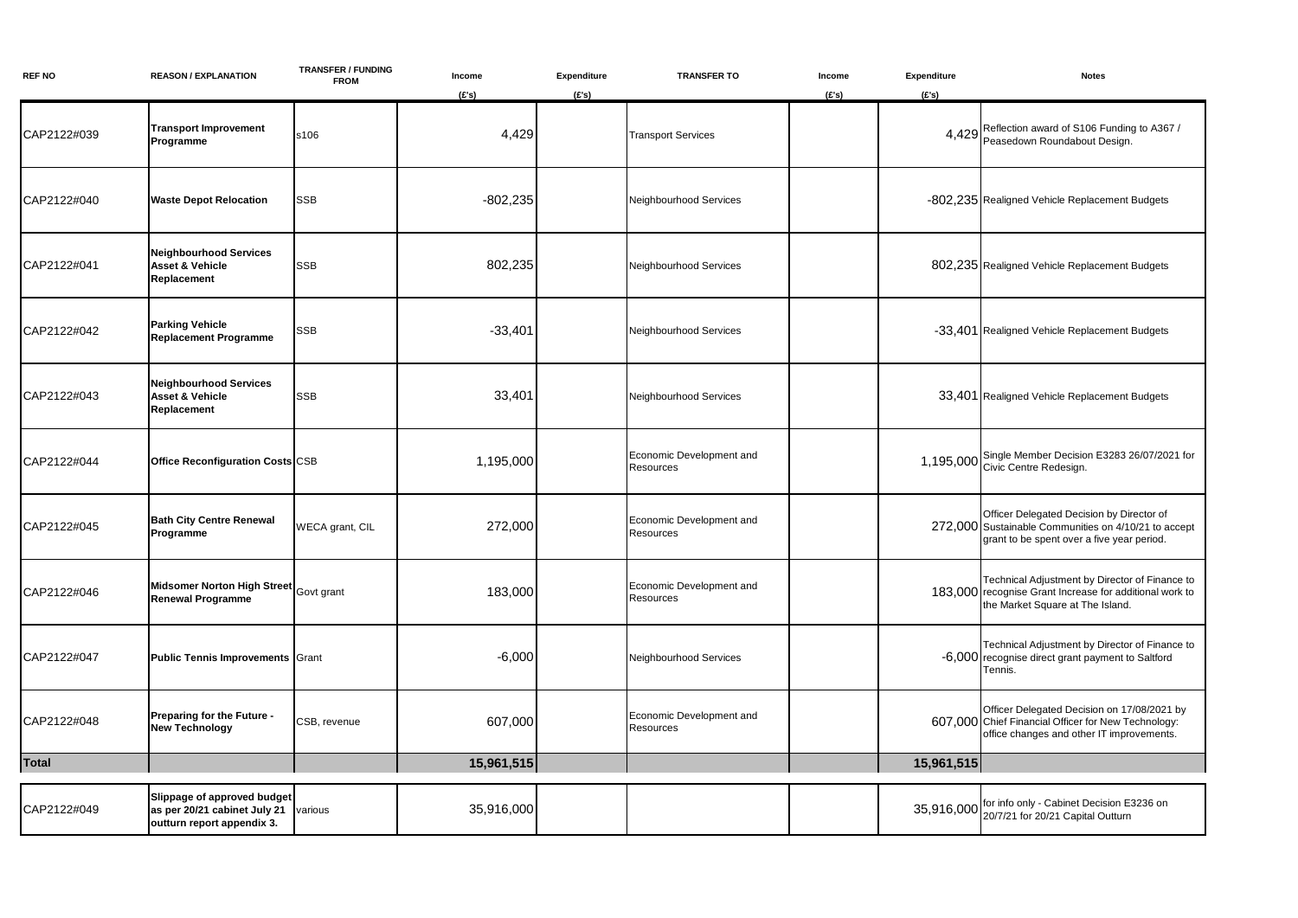| <b>REF NO</b> | <b>REASON / EXPLANATION</b>                                                               | <b>TRANSFER / FUNDING</b><br><b>FROM</b> | Income     | Expenditure | <b>TRANSFER TO</b>                    | Income | Expenditure | <b>Notes</b>                                                                                                                                    |
|---------------|-------------------------------------------------------------------------------------------|------------------------------------------|------------|-------------|---------------------------------------|--------|-------------|-------------------------------------------------------------------------------------------------------------------------------------------------|
|               |                                                                                           |                                          | (E's)      | (E's)       |                                       | (E's)  | (E's)       |                                                                                                                                                 |
| CAP2122#039   | <b>Transport Improvement</b><br>Programme                                                 | s106                                     | 4,429      |             | <b>Transport Services</b>             |        | 4,429       | Reflection award of S106 Funding to A367 /<br>Peasedown Roundabout Design.                                                                      |
| CAP2122#040   | <b>Waste Depot Relocation</b>                                                             | SSB                                      | $-802,235$ |             | Neighbourhood Services                |        |             | -802,235 Realigned Vehicle Replacement Budgets                                                                                                  |
| CAP2122#041   | <b>Neighbourhood Services</b><br>Asset & Vehicle<br>Replacement                           | SSB                                      | 802,235    |             | Neighbourhood Services                |        |             | 802,235 Realigned Vehicle Replacement Budgets                                                                                                   |
| CAP2122#042   | Parking Vehicle<br><b>Replacement Programme</b>                                           | SSB                                      | $-33,401$  |             | Neighbourhood Services                |        |             | -33,401 Realigned Vehicle Replacement Budgets                                                                                                   |
| CAP2122#043   | <b>Neighbourhood Services</b><br>Asset & Vehicle<br>Replacement                           | SSB                                      | 33,401     |             | Neighbourhood Services                |        |             | 33,401 Realigned Vehicle Replacement Budgets                                                                                                    |
| CAP2122#044   | <b>Office Reconfiguration Costs CSB</b>                                                   |                                          | 1,195,000  |             | Economic Development and<br>Resources |        |             | 1,195,000 Single Member Decision E3283 26/07/2021 for<br>Civic Centre Redesign.                                                                 |
| CAP2122#045   | <b>Bath City Centre Renewal</b><br>Programme                                              | WECA grant, CIL                          | 272,000    |             | Economic Development and<br>Resources |        |             | Officer Delegated Decision by Director of<br>272,000 Sustainable Communities on 4/10/21 to accept<br>grant to be spent over a five year period. |
| CAP2122#046   | <b>Midsomer Norton High Street</b><br><b>Renewal Programme</b>                            | Govt grant                               | 183,000    |             | Economic Development and<br>Resources |        |             | Technical Adjustment by Director of Finance to<br>183,000 recognise Grant Increase for additional work to<br>the Market Square at The Island.   |
| CAP2122#047   | <b>Public Tennis Improvements Grant</b>                                                   |                                          | $-6,000$   |             | Neighbourhood Services                |        |             | Technical Adjustment by Director of Finance to<br>-6,000 recognise direct grant payment to Saltford<br>Tennis.                                  |
| CAP2122#048   | Preparing for the Future -<br><b>New Technology</b>                                       | CSB, revenue                             | 607,000    |             | Economic Development and<br>Resources |        |             | Officer Delegated Decision on 17/08/2021 by<br>607,000 Chief Financial Officer for New Technology:<br>office changes and other IT improvements. |
| <b>Total</b>  |                                                                                           |                                          | 15,961,515 |             |                                       |        | 15,961,515  |                                                                                                                                                 |
| CAP2122#049   | Slippage of approved budget<br>as per 20/21 cabinet July 21<br>outturn report appendix 3. | various                                  | 35,916,000 |             |                                       |        |             | 35,916,000 for info only - Cabinet Decision E3236 on<br>20/7/21 for 20/21 Capital Outturn                                                       |